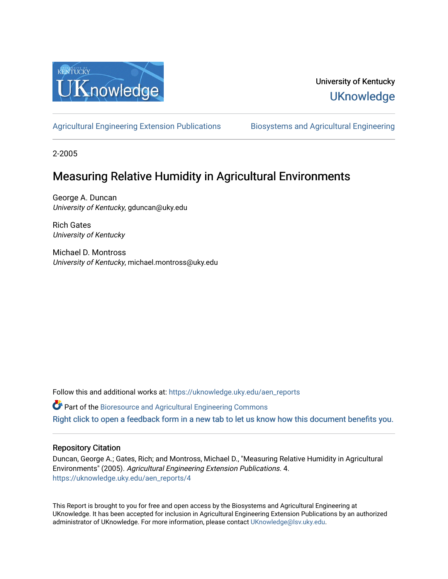

## University of Kentucky **UKnowledge**

[Agricultural Engineering Extension Publications](https://uknowledge.uky.edu/aen_reports) [Biosystems and Agricultural Engineering](https://uknowledge.uky.edu/bae) 

2-2005

## Measuring Relative Humidity in Agricultural Environments

George A. Duncan University of Kentucky, gduncan@uky.edu

Rich Gates University of Kentucky

Michael D. Montross University of Kentucky, michael.montross@uky.edu

Follow this and additional works at: [https://uknowledge.uky.edu/aen\\_reports](https://uknowledge.uky.edu/aen_reports?utm_source=uknowledge.uky.edu%2Faen_reports%2F4&utm_medium=PDF&utm_campaign=PDFCoverPages)

Part of the [Bioresource and Agricultural Engineering Commons](http://network.bepress.com/hgg/discipline/1056?utm_source=uknowledge.uky.edu%2Faen_reports%2F4&utm_medium=PDF&utm_campaign=PDFCoverPages)

[Right click to open a feedback form in a new tab to let us know how this document benefits you.](https://uky.az1.qualtrics.com/jfe/form/SV_9mq8fx2GnONRfz7)

#### Repository Citation

Duncan, George A.; Gates, Rich; and Montross, Michael D., "Measuring Relative Humidity in Agricultural Environments" (2005). Agricultural Engineering Extension Publications. 4. [https://uknowledge.uky.edu/aen\\_reports/4](https://uknowledge.uky.edu/aen_reports/4?utm_source=uknowledge.uky.edu%2Faen_reports%2F4&utm_medium=PDF&utm_campaign=PDFCoverPages)

This Report is brought to you for free and open access by the Biosystems and Agricultural Engineering at UKnowledge. It has been accepted for inclusion in Agricultural Engineering Extension Publications by an authorized administrator of UKnowledge. For more information, please contact [UKnowledge@lsv.uky.edu](mailto:UKnowledge@lsv.uky.edu).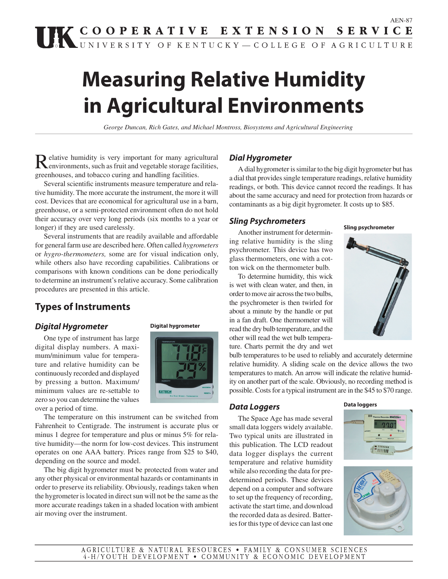# **Measuring Relative Humidity in Agricultural Environments**

*George Duncan, Rich Gates, and Michael Montross, Biosystems and Agricultural Engineering*

Relative humidity is very important for many agricultural denvironments, such as fruit and vegetable storage facilities, greenhouses, and tobacco curing and handling facilities.

Several scientific instruments measure temperature and relative humidity. The more accurate the instrument, the more it will cost. Devices that are economical for agricultural use in a barn, greenhouse, or a semi-protected environment often do not hold their accuracy over very long periods (six months to a year or longer) if they are used carelessly.

Several instruments that are readily available and affordable for general farm use are described here. Often called *hygrometers* or *hygro-thermometers,* some are for visual indication only, while others also have recording capabilities. Calibrations or comparisons with known conditions can be done periodically to determine an instrument's relative accuracy. Some calibration procedures are presented in this article.

### **Types of Instruments**

#### **Digital Hygrometer**

One type of instrument has large digital display numbers. A maximum/minimum value for temperature and relative humidity can be continuously recorded and displayed by pressing a button. Maximum/ minimum values are re-settable to zero so you can determine the values over a period of time.





The temperature on this instrument can be switched from Fahrenheit to Centigrade. The instrument is accurate plus or minus 1 degree for temperature and plus or minus 5% for relative humidity—the norm for low-cost devices. This instrument operates on one AAA battery. Prices range from \$25 to \$40, depending on the source and model.

The big digit hygrometer must be protected from water and any other physical or environmental hazards or contaminants in order to preserve its reliability. Obviously, readings taken when the hygrometer is located in direct sun will not be the same as the more accurate readings taken in a shaded location with ambient air moving over the instrument.

#### **Dial Hygrometer**

A dial hygrometer is similar to the big digit hygrometer but has a dial that provides single temperature readings, relative humidity readings, or both. This device cannot record the readings. It has about the same accuracy and need for protection from hazards or contaminants as a big digit hygrometer. It costs up to \$85.

#### **Sling Psychrometers**

Another instrument for determining relative humidity is the sling psychrometer. This device has two glass thermometers, one with a cotton wick on the thermometer bulb.

To determine humidity, this wick is wet with clean water, and then, in order to move air across the two bulbs, the psychrometer is then twirled for about a minute by the handle or put in a fan draft. One thermometer will read the dry bulb temperature, and the other will read the wet bulb temperature. Charts permit the dry and wet

bulb temperatures to be used to reliably and accurately determine relative humidity. A sliding scale on the device allows the two temperatures to match. An arrow will indicate the relative humidity on another part of the scale. Obviously, no recording method is possible. Costs for a typical instrument are in the \$45 to \$70 range.

#### **Data Loggers**

The Space Age has made several small data loggers widely available. Two typical units are illustrated in this publication. The LCD readout data logger displays the current temperature and relative humidity while also recording the data for predetermined periods. These devices depend on a computer and software to set up the frequency of recording, activate the start time, and download the recorded data as desired. Batteries for this type of device can last one









**Sling psychrometer**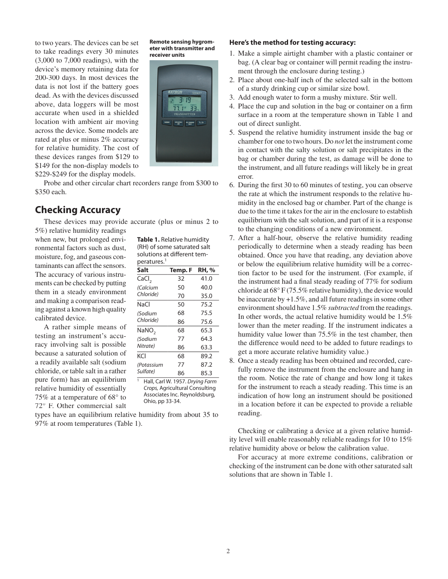to two years. The devices can be set to take readings every 30 minutes (3,000 to 7,000 readings), with the device's memory retaining data for 200-300 days. In most devices the data is not lost if the battery goes dead. As with the devices discussed above, data loggers will be most accurate when used in a shielded location with ambient air moving across the device. Some models are rated at plus or minus 2% accuracy for relative humidity. The cost of these devices ranges from \$129 to \$149 for the non-display models to \$229-\$249 for the display models.

Probe and other circular chart recorders range from \$300 to \$350 each.

#### **Checking Accuracy**

These devices may provide accurate (plus or minus 2 to 5%) relative humidity readings

when new, but prolonged environmental factors such as dust, moisture, fog, and gaseous contaminants can affect the sensors. The accuracy of various instruments can be checked by putting them in a steady environment and making a comparison reading against a known high quality calibrated device.

A rather simple means of testing an instrument's accuracy involving salt is possible because a saturated solution of a readily available salt (sodium chloride, or table salt in a rather pure form) has an equilibrium relative humidity of essentially 75% at a temperature of 68° to 72° F. Other commercial salt **Table 1.** Relative humidity (RH) of some saturated salt solutions at different temperatures.1

**Remote sensing hygrometer with transmitter and** 

**receiver units**

| Salt                                                                                                               | Temp. F | RH, % |
|--------------------------------------------------------------------------------------------------------------------|---------|-------|
| CaCl <sub>2</sub>                                                                                                  | 32      | 41.0  |
| (Calcium                                                                                                           | 50      | 40.0  |
| Chloride)                                                                                                          | 70      | 35.0  |
| NaCl                                                                                                               | 50      | 75.2  |
| (Sodium                                                                                                            | 68      | 75.5  |
| Chloride)                                                                                                          | 86      | 75.6  |
| NaNO <sub>2</sub>                                                                                                  | 68      | 65.3  |
| (Sodium                                                                                                            | 77      | 64.3  |
| Nitrate)                                                                                                           | 86      | 63.3  |
| KCl                                                                                                                | 68      | 89.2  |
| (Potassium                                                                                                         | 77      | 87.2  |
| Sulfate)                                                                                                           | 86      | 85.3  |
| $\mathbf{1}$<br>Hall, Carl W. 1957. Drying Farm<br>Crops, Agricultural Consulting<br>Associates Inc. Reynoldsburg, |         |       |

Ohio, pp 33-34.

types have an equilibrium relative humidity from about 35 to 97% at room temperatures (Table 1).

#### **Here's the method for testing accuracy:**

- 1. Make a simple airtight chamber with a plastic container or bag. (A clear bag or container will permit reading the instrument through the enclosure during testing.)
- 2. Place about one-half inch of the selected salt in the bottom of a sturdy drinking cup or similar size bowl.
- 3. Add enough water to form a mushy mixture. Stir well.
- 4. Place the cup and solution in the bag or container on a firm surface in a room at the temperature shown in Table 1 and out of direct sunlight.
- 5. Suspend the relative humidity instrument inside the bag or chamber for one to two hours. Do *not* let the instrument come in contact with the salty solution or salt precipitates in the bag or chamber during the test, as damage will be done to the instrument, and all future readings will likely be in great error.
- 6. During the first 30 to 60 minutes of testing, you can observe the rate at which the instrument responds to the relative humidity in the enclosed bag or chamber. Part of the change is due to the time it takes for the air in the enclosure to establish equilibrium with the salt solution, and part of it is a response to the changing conditions of a new environment.
- 7. After a half-hour, observe the relative humidity reading periodically to determine when a steady reading has been obtained. Once you have that reading, any deviation above or below the equilibrium relative humidity will be a correction factor to be used for the instrument. (For example, if the instrument had a final steady reading of  $77\%$  for sodium chloride at 68° F (75.5% relative humidity), the device would be inaccurate by +1.5%, and all future readings in some other environment should have 1.5% *subtracted* from the readings. In other words, the actual relative humidity would be 1.5% lower than the meter reading. If the instrument indicates a humidity value lower than 75.5% in the test chamber, then the difference would need to be added to future readings to get a more accurate relative humidity value.)
- 8. Once a steady reading has been obtained and recorded, carefully remove the instrument from the enclosure and hang in the room. Notice the rate of change and how long it takes for the instrument to reach a steady reading. This time is an indication of how long an instrument should be positioned in a location before it can be expected to provide a reliable reading.

Checking or calibrating a device at a given relative humidity level will enable reasonably reliable readings for 10 to 15% relative humidity above or below the calibration value.

For accuracy at more extreme conditions, calibration or checking of the instrument can be done with other saturated salt solutions that are shown in Table 1.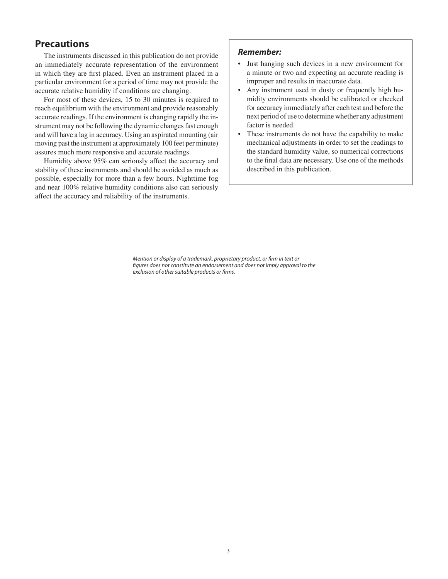#### **Precautions**

The instruments discussed in this publication do not provide an immediately accurate representation of the environment in which they are first placed. Even an instrument placed in a particular environment for a period of time may not provide the accurate relative humidity if conditions are changing.

For most of these devices, 15 to 30 minutes is required to reach equilibrium with the environment and provide reasonably accurate readings. If the environment is changing rapidly the instrument may not be following the dynamic changes fast enough and will have a lag in accuracy. Using an aspirated mounting (air moving past the instrument at approximately 100 feet per minute) assures much more responsive and accurate readings.

Humidity above 95% can seriously affect the accuracy and stability of these instruments and should be avoided as much as possible, especially for more than a few hours. Nighttime fog and near 100% relative humidity conditions also can seriously affect the accuracy and reliability of the instruments.

#### **Remember:**

- Just hanging such devices in a new environment for a minute or two and expecting an accurate reading is improper and results in inaccurate data.
- Any instrument used in dusty or frequently high humidity environments should be calibrated or checked for accuracy immediately after each test and before the next period of use to determine whether any adjustment factor is needed.
- These instruments do not have the capability to make mechanical adjustments in order to set the readings to the standard humidity value, so numerical corrections to the final data are necessary. Use one of the methods described in this publication.

Mention or display of a trademark, proprietary product, or firm in text or figures does not constitute an endorsement and does not imply approval to the exclusion of other suitable products or firms.